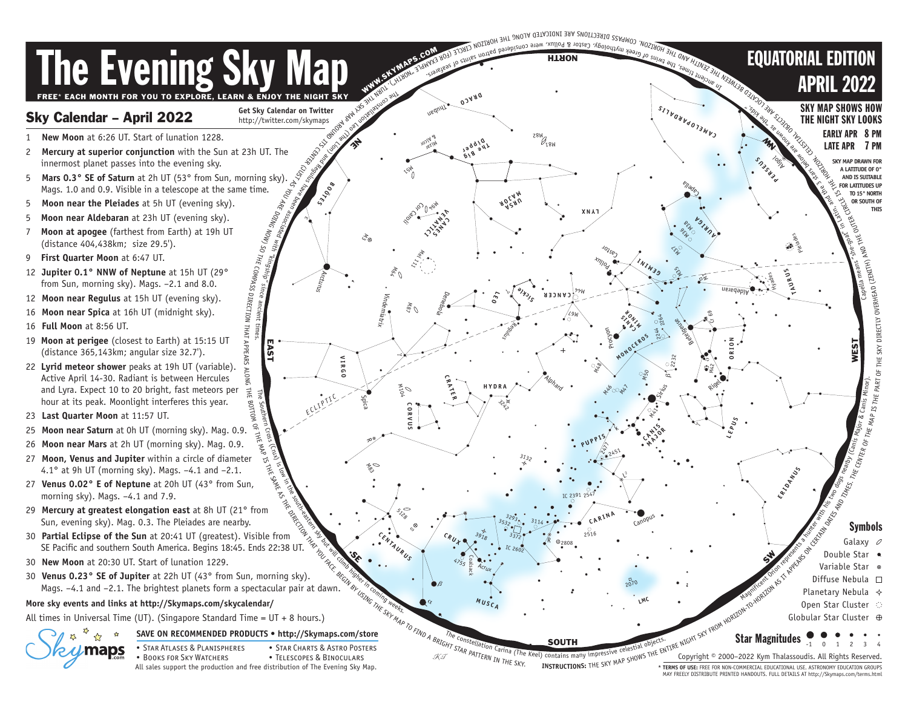